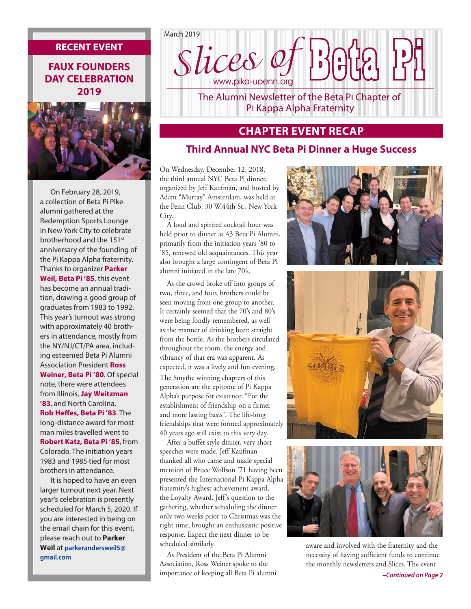#### **RECENT EVENT**

#### **FAUX FOUNDERS DAY CELEBRATION 2019**



On February 28, 2019, a collection of Beta Pi Pike alumni gathered at the Redemption Sports Lounge in New York City to celebrate brotherhood and the 151st anniversary of the founding of the Pi Kappa Alpha fraternity. Thanks to organizer **Parker Weil, Beta Pi '85**, this event has become an annual tradition, drawing a good group of graduates from 1983 to 1992. This year's turnout was strong with approximately 40 brothers in attendance, mostly from the NY/NJ/CT/PA area, including esteemed Beta Pi Alumni Association President **Ross Weiner, Beta Pi '80**. Of special note, there were attendees from Illinois, **Jay Weitzman '83**, and North Carolina, **Rob Heffes, Beta Pi '83**. The long-distance award for most man miles travelled went to **Robert Katz, Beta Pi '85**, from Colorado. The initiation years 1983 and 1985 tied for most brothers in attendance.

It is hoped to have an even larger turnout next year. Next year's celebration is presently scheduled for March 5, 2020. If you are interested in being on the email chain for this event, please reach out to **Parker Weil** at **parkerandersweil5@ gmail.com** 



The Alumni Newsletter of the Beta Pi Chapter of Pi Kappa Alpha Fraternity

# **CHAPTER EVENT RECAP**

#### **Third Annual NYC Beta Pi Dinner a Huge Success**

On Wednesday, December 12, 2018, the third annual NYC Beta Pi dinner, organized by Jeff Kaufman, and hosted by Adam "Murray" Amsterdam, was held at the Penn Club, 30 W.44th St., New York City.

A loud and spirited cocktail hour was held prior to dinner as 43 Beta Pi Alumni, primarily from the initiation years '80 to '85, renewed old acquaintances. This year also brought a large contingent of Beta Pi alumni initiated in the late 70's.

As the crowd broke off into groups of two, three, and four, brothers could be seen moving from one group to another. It certainly seemed that the 70's and 80's were being fondly remembered, as well as the manner of drinking beer: straight from the bottle. As the brothers circulated throughout the room, the energy and vibrancy of that era was apparent. As expected, it was a lively and fun evening. The Smythe winning chapters of this generation are the epitome of Pi Kappa Alpha's purpose for existence: "For the establishment of friendship on a firmer and more lasting basis". The life-long friendships that were formed approximately 40 years ago still exist to this very day.

After a buffet style dinner, very short speeches were made. Jeff Kaufman thanked all who came and made special mention of Bruce Wolfson '71 having been presented the International Pi Kappa Alpha fraternity's highest achievement award, the Loyalty Award. Jeff's question to the gathering, whether scheduling the dinner only two weeks prior to Christmas was the right time, brought an enthusiastic positive response. Expect the next dinner to be scheduled similarly.

As President of the Beta Pi Alumni Association, Ross Weiner spoke to the importance of keeping all Beta Pi alumni







aware and involved with the fraternity and the necessity of having sufficient funds to continue the monthly newsletters and Slices. The event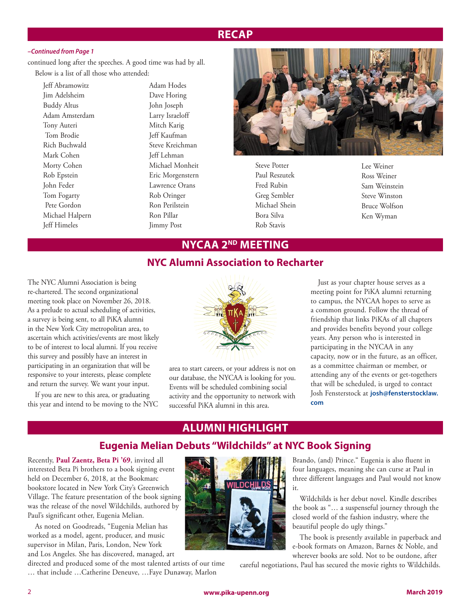### **RECAP**

#### *–Continued from Page 1*

continued long after the speeches. A good time was had by all. Below is a list of all those who attended:

Jeff Abramowitz Jim Adelsheim Buddy Altus Adam Amsterdam Tony Auteri Tom Brodie Rich Buchwald Mark Cohen Morty Cohen Rob Epstein John Feder Tom Fogarty Pete Gordon Michael Halpern Jeff Himeles

Adam Hodes Dave Horing John Joseph Larry Israeloff Mitch Karig Jeff Kaufman Steve Kreichman Jeff Lehman Michael Monheit Eric Morgenstern Lawrence Orans Rob Oringer Ron Perilstein Ron Pillar Jimmy Post



Steve Potter Paul Reszutek Fred Rubin Greg Sembler Michael Shein Bora Silva Rob Stavis

Lee Weiner Ross Weiner Sam Weinstein Steve Winston Bruce Wolfson Ken Wyman

#### **NYCAA 2ND MEETING**

#### **NYC Alumni Association to Recharter**

The NYC Alumni Association is being re-chartered. The second organizational meeting took place on November 26, 2018. As a prelude to actual scheduling of activities, a survey is being sent, to all PiKA alumni in the New York City metropolitan area, to ascertain which activities/events are most likely to be of interest to local alumni. If you receive this survey and possibly have an interest in participating in an organization that will be responsive to your interests, please complete and return the survey. We want your input.

If you are new to this area, or graduating this year and intend to be moving to the NYC



area to start careers, or your address is not on our database, the NYCAA is looking for you. Events will be scheduled combining social activity and the opportunity to network with successful PiKA alumni in this area.

Just as your chapter house serves as a meeting point for PiKA alumni returning to campus, the NYCAA hopes to serve as a common ground. Follow the thread of friendship that links PiKAs of all chapters and provides benefits beyond your college years. Any person who is interested in participating in the NYCAA in any capacity, now or in the future, as an officer, as a committee chairman or member, or attending any of the events or get-togethers that will be scheduled, is urged to contact Josh Fensterstock at **josh@fensterstocklaw. com**

# **ALUMNI HIGHLIGHT**

#### **Eugenia Melian Debuts "Wildchilds" at NYC Book Signing**

Recently, **Paul Zaentz, Beta Pi '69**, invited all interested Beta Pi brothers to a book signing event held on December 6, 2018, at the Bookmarc bookstore located in New York City's Greenwich Village. The feature presentation of the book signing was the release of the novel Wildchilds, authored by Paul's significant other, Eugenia Melian.

As noted on Goodreads, "Eugenia Melian has worked as a model, agent, producer, and music supervisor in Milan, Paris, London, New York and Los Angeles. She has discovered, managed, art

directed and produced some of the most talented artists of our time … that include …Catherine Deneuve, …Faye Dunaway, Marlon



Brando, (and) Prince." Eugenia is also fluent in four languages, meaning she can curse at Paul in three different languages and Paul would not know it.

Wildchilds is her debut novel. Kindle describes the book as "… a suspenseful journey through the closed world of the fashion industry, where the beautiful people do ugly things."

The book is presently available in paperback and e-book formats on Amazon, Barnes & Noble, and wherever books are sold. Not to be outdone, after

careful negotiations, Paul has secured the movie rights to Wildchilds.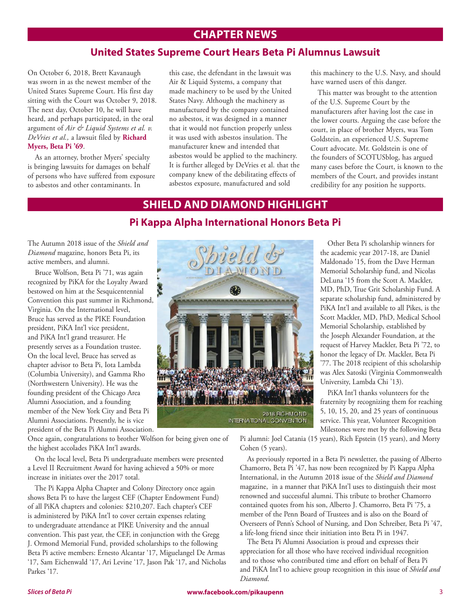# **CHAPTER NEWS**

#### **United States Supreme Court Hears Beta Pi Alumnus Lawsuit**

On October 6, 2018, Brett Kavanaugh was sworn in as the newest member of the United States Supreme Court. His first day sitting with the Court was October 9, 2018. The next day, October 10, he will have heard, and perhaps participated, in the oral argument of *Air & Liquid Systems et al. v. DeVries et al.,* a lawsuit filed by **Richard Myers, Beta Pi '69**.

As an attorney, brother Myers' specialty is bringing lawsuits for damages on behalf of persons who have suffered from exposure to asbestos and other contaminants. In

this case, the defendant in the lawsuit was Air & Liquid Systems, a company that made machinery to be used by the United States Navy. Although the machinery as manufactured by the company contained no asbestos, it was designed in a manner that it would not function properly unless it was used with asbestos insulation. The manufacturer knew and intended that asbestos would be applied to the machinery. It is further alleged by DeVries et al. that the company knew of the debilitating effects of asbestos exposure, manufactured and sold

this machinery to the U.S. Navy, and should have warned users of this danger.

This matter was brought to the attention of the U.S. Supreme Court by the manufacturers after having lost the case in the lower courts. Arguing the case before the court, in place of brother Myers, was Tom Goldstein, an experienced U.S. Supreme Court advocate. Mr. Goldstein is one of the founders of SCOTUSblog, has argued many cases before the Court, is known to the members of the Court, and provides instant credibility for any position he supports.

# **SHIELD AND DIAMOND HIGHLIGHT**

#### **Pi Kappa Alpha International Honors Beta Pi**

The Autumn 2018 issue of the *Shield and Diamond* magazine, honors Beta Pi, its active members, and alumni.

Bruce Wolfson, Beta Pi '71, was again recognized by PiKA for the Loyalty Award bestowed on him at the Sesquicentennial Convention this past summer in Richmond, Virginia. On the International level, Bruce has served as the PIKE Foundation president, PiKA Int'l vice president, and PiKA Int'l grand treasurer. He presently serves as a Foundation trustee. On the local level, Bruce has served as chapter advisor to Beta Pi, Iota Lambda (Columbia University), and Gamma Rho (Northwestern University). He was the founding president of the Chicago Area Alumni Association, and a founding member of the New York City and Beta Pi Alumni Associations. Presently, he is vice president of the Beta Pi Alumni Association.

2018 RICHMOND<br>INTERNATIONAL CONVENTION

Other Beta Pi scholarship winners for the academic year 2017-18, are Daniel Maldonado '15, from the Dave Herman Memorial Scholarship fund, and Nicolas DeLuna '15 from the Scott A. Mackler, MD, PhD, True Grit Scholarship Fund. A separate scholarship fund, administered by PiKA Int'l and available to all Pikes, is the Scott Mackler, MD, PhD, Medical School Memorial Scholarship, established by the Joseph Alexander Foundation, at the request of Harvey Mackler, Beta Pi '72, to honor the legacy of Dr. Mackler, Beta Pi '77. The 2018 recipient of this scholarship was Alex Satoski (Virginia Commonwealth University, Lambda Chi '13).

PiKA Int'l thanks volunteers for the fraternity by recognizing them for reaching 5, 10, 15, 20, and 25 years of continuous service. This year, Volunteer Recognition Milestones were met by the following Beta

Once again, congratulations to brother Wolfson for being given one of the highest accolades PiKA Int'l awards.

On the local level, Beta Pi undergraduate members were presented a Level II Recruitment Award for having achieved a 50% or more increase in initiates over the 2017 total.

The Pi Kappa Alpha Chapter and Colony Directory once again shows Beta Pi to have the largest CEF (Chapter Endowment Fund) of all PiKA chapters and colonies: \$210,207. Each chapter's CEF is administered by PiKA Int'l to cover certain expenses relating to undergraduate attendance at PIKE University and the annual convention. This past year, the CEF, in conjunction with the Gregg J. Ormond Memorial Fund, provided scholarships to the following Beta Pi active members: Ernesto Alcantar '17, Miguelangel De Armas '17, Sam Eichenwald '17, Ari Levine '17, Jason Pak '17, and Nicholas Parkes '17.

Pi alumni: Joel Catania (15 years), Rich Epstein (15 years), and Morty Cohen (5 years).

As previously reported in a Beta Pi newsletter, the passing of Alberto Chamorro, Beta Pi '47, has now been recognized by Pi Kappa Alpha International, in the Autumn 2018 issue of the *Shield and Diamond* magazine, in a manner that PiKA Int'l uses to distinguish their most renowned and successful alumni. This tribute to brother Chamorro contained quotes from his son, Alberto J. Chamorro, Beta Pi '75, a member of the Penn Board of Trustees and is also on the Board of Overseers of Penn's School of Nursing, and Don Schreiber, Beta Pi '47, a life-long friend since their initiation into Beta Pi in 1947.

The Beta Pi Alumni Association is proud and expresses their appreciation for all those who have received individual recognition and to those who contributed time and effort on behalf of Beta Pi and PiKA Int'l to achieve group recognition in this issue of *Shield and Diamond*.